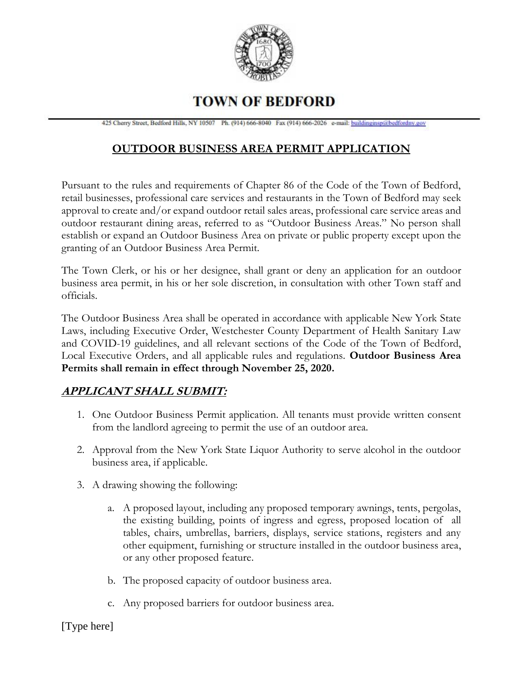

# **TOWN OF BEDFORD**

425 Cherry Street, Bedford Hills, NY 10507 Ph. (914) 666-8040 Fax (914) 666-2026 e-mail: buildinginsp@bedfordny.gov

# **OUTDOOR BUSINESS AREA PERMIT APPLICATION**

Pursuant to the rules and requirements of Chapter 86 of the Code of the Town of Bedford, retail businesses, professional care services and restaurants in the Town of Bedford may seek approval to create and/or expand outdoor retail sales areas, professional care service areas and outdoor restaurant dining areas, referred to as "Outdoor Business Areas." No person shall establish or expand an Outdoor Business Area on private or public property except upon the granting of an Outdoor Business Area Permit.

The Town Clerk, or his or her designee, shall grant or deny an application for an outdoor business area permit, in his or her sole discretion, in consultation with other Town staff and officials.

The Outdoor Business Area shall be operated in accordance with applicable New York State Laws, including Executive Order, Westchester County Department of Health Sanitary Law and COVID-19 guidelines, and all relevant sections of the Code of the Town of Bedford, Local Executive Orders, and all applicable rules and regulations. **Outdoor Business Area Permits shall remain in effect through November 25, 2020.**

# **APPLICANT SHALL SUBMIT:**

- 1. One Outdoor Business Permit application. All tenants must provide written consent from the landlord agreeing to permit the use of an outdoor area.
- 2. Approval from the New York State Liquor Authority to serve alcohol in the outdoor business area, if applicable.
- 3. A drawing showing the following:
	- a. A proposed layout, including any proposed temporary awnings, tents, pergolas, the existing building, points of ingress and egress, proposed location of all tables, chairs, umbrellas, barriers, displays, service stations, registers and any other equipment, furnishing or structure installed in the outdoor business area, or any other proposed feature.
	- b. The proposed capacity of outdoor business area.
	- c. Any proposed barriers for outdoor business area.

[Type here]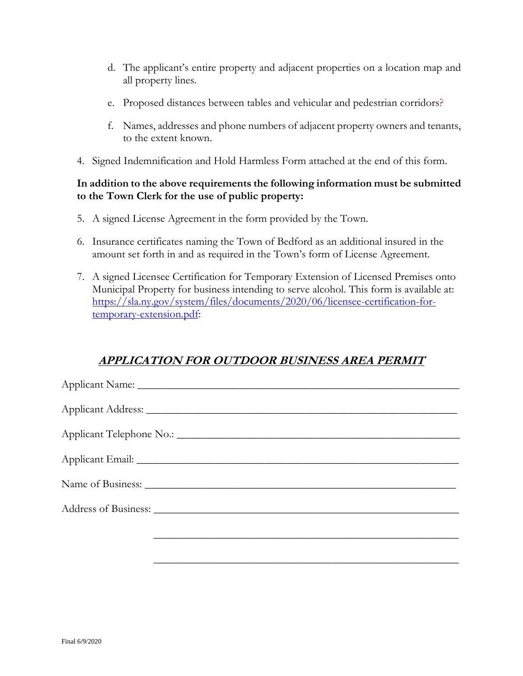- d. The applicant's entire property and adjacent properties on a location map and all property lines.
- e. Proposed distances between tables and vehicular and pedestrian corridors?
- f. Names, addresses and phone numbers of adjacent property owners and tenants, to the extent known.
- 4. Signed Indemnification and Hold Harmless Form attached at the end of this form.

#### **In addition to the above requirements the following information must be submitted to the Town Clerk for the use of public property:**

- 5. A signed License Agreement in the form provided by the Town.
- 6. Insurance certificates naming the Town of Bedford as an additional insured in the amount set forth in and as required in the Town's form of License Agreement.
- 7. A signed Licensee Certification for Temporary Extension of Licensed Premises onto Municipal Property for business intending to serve alcohol. This form is available at: [https://sla.ny.gov/system/files/documents/2020/06/licensee-certification-for](https://sla.ny.gov/system/files/documents/2020/06/licensee-certification-for-temporary-extension.pdf)[temporary-extension.pdf:](https://sla.ny.gov/system/files/documents/2020/06/licensee-certification-for-temporary-extension.pdf)

### **APPLICATION FOR OUTDOOR BUSINESS AREA PERMIT**

\_\_\_\_\_\_\_\_\_\_\_\_\_\_\_\_\_\_\_\_\_\_\_\_\_\_\_\_\_\_\_\_\_\_\_\_\_\_\_\_\_\_\_\_\_\_\_\_\_\_\_\_\_\_\_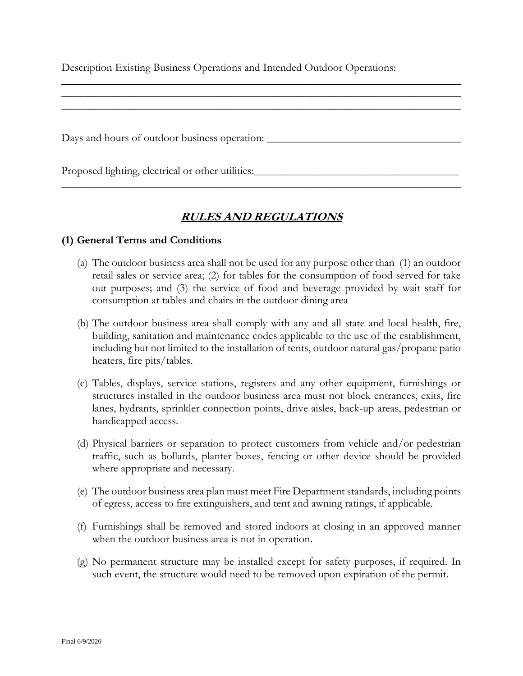Description Existing Business Operations and Intended Outdoor Operations:

Days and hours of outdoor business operation: \_\_\_\_\_\_\_\_\_\_\_\_\_\_\_\_\_\_\_\_\_\_\_\_\_\_\_\_\_\_\_\_\_\_

Proposed lighting, electrical or other utilities:

### **RULES AND REGULATIONS**

 $\overline{\phantom{a}}$  , and the contribution of the contribution of the contribution of the contribution of the contribution of the contribution of the contribution of the contribution of the contribution of the contribution of the

 $\overline{\phantom{a}}$  , and the contribution of the contribution of the contribution of the contribution of the contribution of the contribution of the contribution of the contribution of the contribution of the contribution of the  $\overline{\phantom{a}}$  , and the contribution of the contribution of the contribution of the contribution of the contribution of the contribution of the contribution of the contribution of the contribution of the contribution of the \_\_\_\_\_\_\_\_\_\_\_\_\_\_\_\_\_\_\_\_\_\_\_\_\_\_\_\_\_\_\_\_\_\_\_\_\_\_\_\_\_\_\_\_\_\_\_\_\_\_\_\_\_\_\_\_\_\_\_\_\_\_\_\_\_\_\_\_\_\_\_\_

#### **(1) General Terms and Conditions**

- (a) The outdoor business area shall not be used for any purpose other than (1) an outdoor retail sales or service area; (2) for tables for the consumption of food served for take out purposes; and (3) the service of food and beverage provided by wait staff for consumption at tables and chairs in the outdoor dining area
- (b) The outdoor business area shall comply with any and all state and local health, fire, building, sanitation and maintenance codes applicable to the use of the establishment, including but not limited to the installation of tents, outdoor natural gas/propane patio heaters, fire pits/tables.
- (c) Tables, displays, service stations, registers and any other equipment, furnishings or structures installed in the outdoor business area must not block entrances, exits, fire lanes, hydrants, sprinkler connection points, drive aisles, back-up areas, pedestrian or handicapped access.
- (d) Physical barriers or separation to protect customers from vehicle and/or pedestrian traffic, such as bollards, planter boxes, fencing or other device should be provided where appropriate and necessary.
- (e) The outdoor business area plan must meet Fire Department standards, including points of egress, access to fire extinguishers, and tent and awning ratings, if applicable.
- (f) Furnishings shall be removed and stored indoors at closing in an approved manner when the outdoor business area is not in operation.
- (g) No permanent structure may be installed except for safety purposes, if required. In such event, the structure would need to be removed upon expiration of the permit.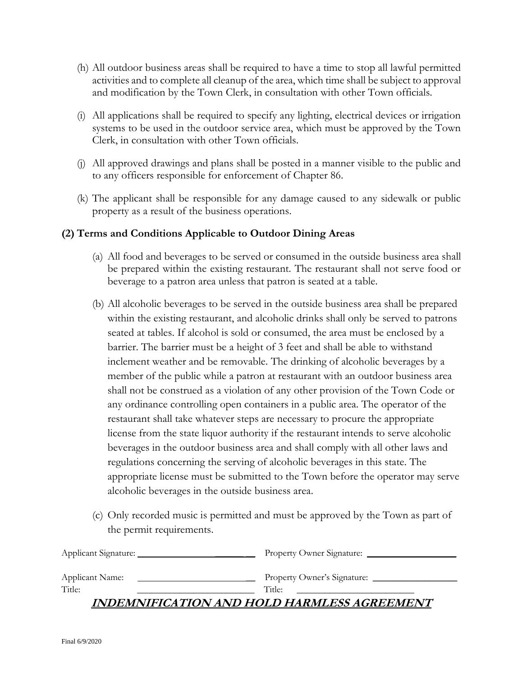- (h) All outdoor business areas shall be required to have a time to stop all lawful permitted activities and to complete all cleanup of the area, which time shall be subject to approval and modification by the Town Clerk, in consultation with other Town officials.
- (i) All applications shall be required to specify any lighting, electrical devices or irrigation systems to be used in the outdoor service area, which must be approved by the Town Clerk, in consultation with other Town officials.
- (j) All approved drawings and plans shall be posted in a manner visible to the public and to any officers responsible for enforcement of Chapter 86.
- (k) The applicant shall be responsible for any damage caused to any sidewalk or public property as a result of the business operations.

#### **(2) Terms and Conditions Applicable to Outdoor Dining Areas**

- (a) All food and beverages to be served or consumed in the outside business area shall be prepared within the existing restaurant. The restaurant shall not serve food or beverage to a patron area unless that patron is seated at a table.
- (b) All alcoholic beverages to be served in the outside business area shall be prepared within the existing restaurant, and alcoholic drinks shall only be served to patrons seated at tables. If alcohol is sold or consumed, the area must be enclosed by a barrier. The barrier must be a height of 3 feet and shall be able to withstand inclement weather and be removable. The drinking of alcoholic beverages by a member of the public while a patron at restaurant with an outdoor business area shall not be construed as a violation of any other provision of the Town Code or any ordinance controlling open containers in a public area. The operator of the restaurant shall take whatever steps are necessary to procure the appropriate license from the state liquor authority if the restaurant intends to serve alcoholic beverages in the outdoor business area and shall comply with all other laws and regulations concerning the serving of alcoholic beverages in this state. The appropriate license must be submitted to the Town before the operator may serve alcoholic beverages in the outside business area.
- (c) Only recorded music is permitted and must be approved by the Town as part of the permit requirements.

| Applicant Signature: | Property Owner Signature:                   |
|----------------------|---------------------------------------------|
| Applicant Name:      | Property Owner's Signature:                 |
| Title:               | Title:                                      |
|                      | INDEMNIFICATION AND HOLD HARMLESS AGREEMENT |